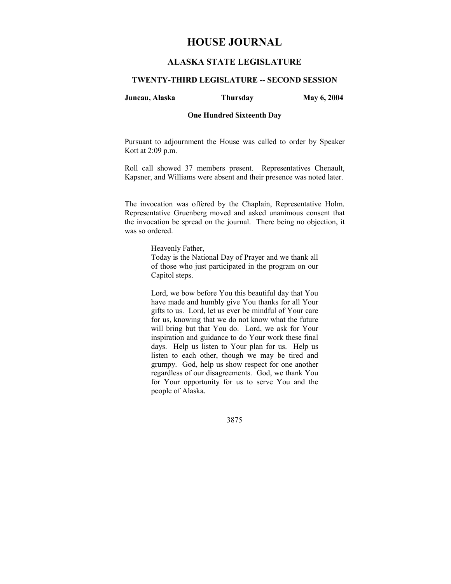# **HOUSE JOURNAL**

# **ALASKA STATE LEGISLATURE**

#### **TWENTY-THIRD LEGISLATURE -- SECOND SESSION**

**Juneau, Alaska Thursday May 6, 2004** 

# **One Hundred Sixteenth Day**

Pursuant to adjournment the House was called to order by Speaker Kott at 2:09 p.m.

Roll call showed 37 members present. Representatives Chenault, Kapsner, and Williams were absent and their presence was noted later.

The invocation was offered by the Chaplain, Representative Holm. Representative Gruenberg moved and asked unanimous consent that the invocation be spread on the journal. There being no objection, it was so ordered.

Heavenly Father,

Today is the National Day of Prayer and we thank all of those who just participated in the program on our Capitol steps.

Lord, we bow before You this beautiful day that You have made and humbly give You thanks for all Your gifts to us. Lord, let us ever be mindful of Your care for us, knowing that we do not know what the future will bring but that You do. Lord, we ask for Your inspiration and guidance to do Your work these final days. Help us listen to Your plan for us. Help us listen to each other, though we may be tired and grumpy. God, help us show respect for one another regardless of our disagreements. God, we thank You for Your opportunity for us to serve You and the people of Alaska.

3875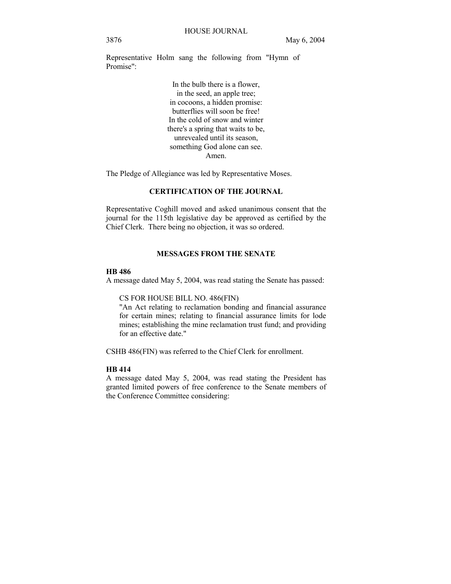Representative Holm sang the following from "Hymn of Promise":

> In the bulb there is a flower, in the seed, an apple tree; in cocoons, a hidden promise: butterflies will soon be free! In the cold of snow and winter there's a spring that waits to be, unrevealed until its season, something God alone can see. Amen.

The Pledge of Allegiance was led by Representative Moses.

# **CERTIFICATION OF THE JOURNAL**

Representative Coghill moved and asked unanimous consent that the journal for the 115th legislative day be approved as certified by the Chief Clerk. There being no objection, it was so ordered.

# **MESSAGES FROM THE SENATE**

## **HB 486**

A message dated May 5, 2004, was read stating the Senate has passed:

CS FOR HOUSE BILL NO. 486(FIN)

"An Act relating to reclamation bonding and financial assurance for certain mines; relating to financial assurance limits for lode mines; establishing the mine reclamation trust fund; and providing for an effective date."

CSHB 486(FIN) was referred to the Chief Clerk for enrollment.

### **HB 414**

A message dated May 5, 2004, was read stating the President has granted limited powers of free conference to the Senate members of the Conference Committee considering: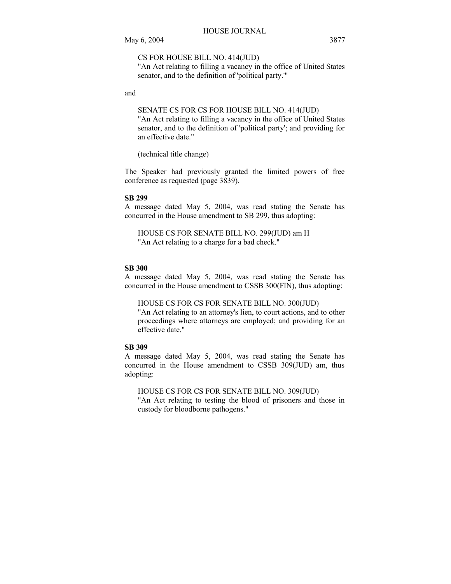CS FOR HOUSE BILL NO. 414(JUD)

"An Act relating to filling a vacancy in the office of United States senator, and to the definition of 'political party.'"

and

SENATE CS FOR CS FOR HOUSE BILL NO. 414(JUD) "An Act relating to filling a vacancy in the office of United States senator, and to the definition of 'political party'; and providing for an effective date."

(technical title change)

The Speaker had previously granted the limited powers of free conference as requested (page 3839).

#### **SB 299**

A message dated May 5, 2004, was read stating the Senate has concurred in the House amendment to SB 299, thus adopting:

HOUSE CS FOR SENATE BILL NO. 299(JUD) am H "An Act relating to a charge for a bad check."

# **SB 300**

A message dated May 5, 2004, was read stating the Senate has concurred in the House amendment to CSSB 300(FIN), thus adopting:

HOUSE CS FOR CS FOR SENATE BILL NO. 300(JUD) "An Act relating to an attorney's lien, to court actions, and to other proceedings where attorneys are employed; and providing for an effective date."

# **SB 309**

A message dated May 5, 2004, was read stating the Senate has concurred in the House amendment to CSSB 309(JUD) am, thus adopting:

HOUSE CS FOR CS FOR SENATE BILL NO. 309(JUD) "An Act relating to testing the blood of prisoners and those in custody for bloodborne pathogens."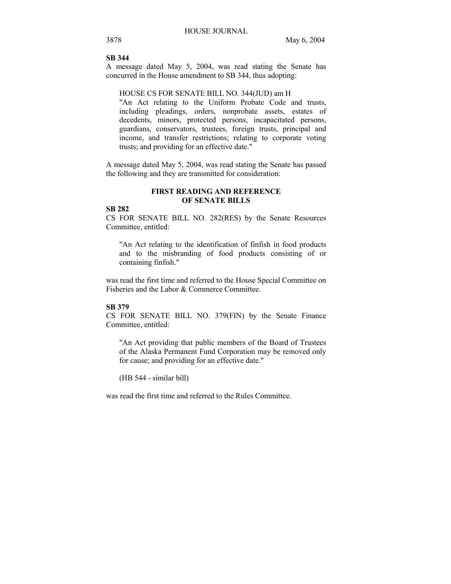# **SB 344**

A message dated May 5, 2004, was read stating the Senate has concurred in the House amendment to SB 344, thus adopting:

#### HOUSE CS FOR SENATE BILL NO. 344(JUD) am H

"An Act relating to the Uniform Probate Code and trusts, including pleadings, orders, nonprobate assets, estates of decedents, minors, protected persons, incapacitated persons, guardians, conservators, trustees, foreign trusts, principal and income, and transfer restrictions; relating to corporate voting trusts; and providing for an effective date."

A message dated May 5, 2004, was read stating the Senate has passed the following and they are transmitted for consideration:

# **FIRST READING AND REFERENCE OF SENATE BILLS**

# **SB 282**

CS FOR SENATE BILL NO. 282(RES) by the Senate Resources Committee, entitled:

"An Act relating to the identification of finfish in food products and to the misbranding of food products consisting of or containing finfish."

was read the first time and referred to the House Special Committee on Fisheries and the Labor & Commerce Committee.

#### **SB 379**

CS FOR SENATE BILL NO. 379(FIN) by the Senate Finance Committee, entitled:

"An Act providing that public members of the Board of Trustees of the Alaska Permanent Fund Corporation may be removed only for cause; and providing for an effective date."

(HB 544 - similar bill)

was read the first time and referred to the Rules Committee.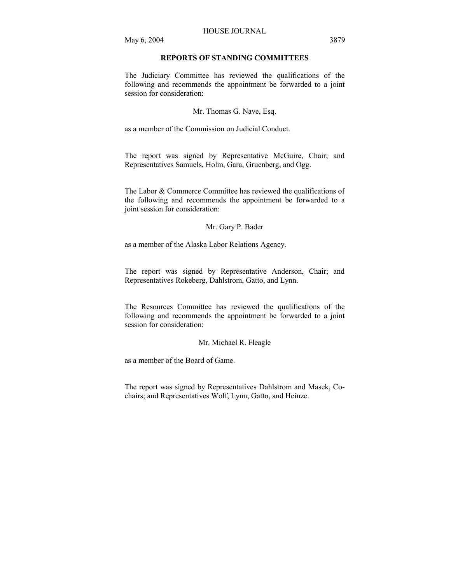# **REPORTS OF STANDING COMMITTEES**

The Judiciary Committee has reviewed the qualifications of the following and recommends the appointment be forwarded to a joint session for consideration:

Mr. Thomas G. Nave, Esq.

as a member of the Commission on Judicial Conduct.

The report was signed by Representative McGuire, Chair; and Representatives Samuels, Holm, Gara, Gruenberg, and Ogg.

The Labor & Commerce Committee has reviewed the qualifications of the following and recommends the appointment be forwarded to a joint session for consideration:

#### Mr. Gary P. Bader

as a member of the Alaska Labor Relations Agency.

The report was signed by Representative Anderson, Chair; and Representatives Rokeberg, Dahlstrom, Gatto, and Lynn.

The Resources Committee has reviewed the qualifications of the following and recommends the appointment be forwarded to a joint session for consideration:

### Mr. Michael R. Fleagle

as a member of the Board of Game.

The report was signed by Representatives Dahlstrom and Masek, Cochairs; and Representatives Wolf, Lynn, Gatto, and Heinze.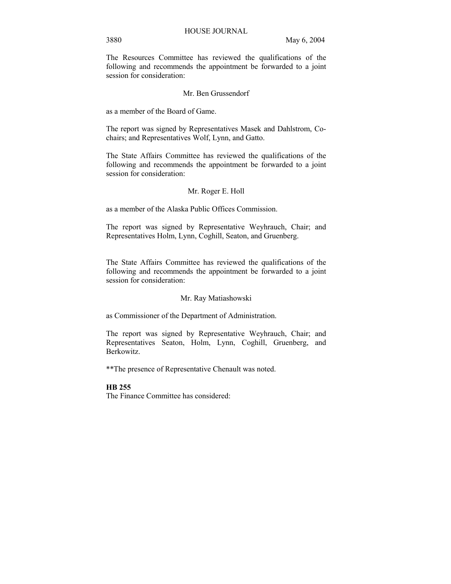The Resources Committee has reviewed the qualifications of the following and recommends the appointment be forwarded to a joint session for consideration:

#### Mr. Ben Grussendorf

as a member of the Board of Game.

The report was signed by Representatives Masek and Dahlstrom, Cochairs; and Representatives Wolf, Lynn, and Gatto.

The State Affairs Committee has reviewed the qualifications of the following and recommends the appointment be forwarded to a joint session for consideration:

#### Mr. Roger E. Holl

as a member of the Alaska Public Offices Commission.

The report was signed by Representative Weyhrauch, Chair; and Representatives Holm, Lynn, Coghill, Seaton, and Gruenberg.

The State Affairs Committee has reviewed the qualifications of the following and recommends the appointment be forwarded to a joint session for consideration:

#### Mr. Ray Matiashowski

as Commissioner of the Department of Administration.

The report was signed by Representative Weyhrauch, Chair; and Representatives Seaton, Holm, Lynn, Coghill, Gruenberg, and Berkowitz.

\*\*The presence of Representative Chenault was noted.

#### **HB 255**

The Finance Committee has considered: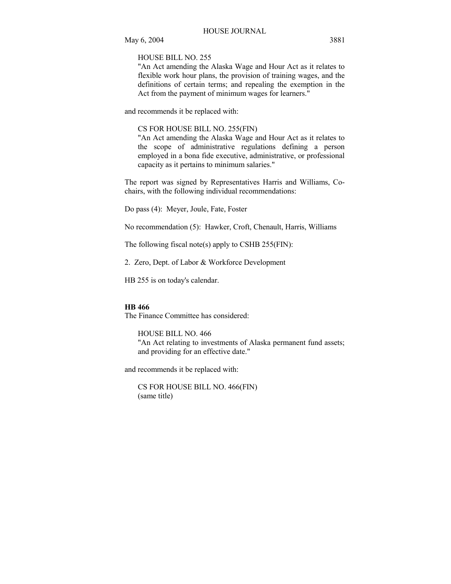HOUSE BILL NO. 255

"An Act amending the Alaska Wage and Hour Act as it relates to flexible work hour plans, the provision of training wages, and the definitions of certain terms; and repealing the exemption in the Act from the payment of minimum wages for learners."

and recommends it be replaced with:

#### CS FOR HOUSE BILL NO. 255(FIN)

"An Act amending the Alaska Wage and Hour Act as it relates to the scope of administrative regulations defining a person employed in a bona fide executive, administrative, or professional capacity as it pertains to minimum salaries."

The report was signed by Representatives Harris and Williams, Cochairs, with the following individual recommendations:

Do pass (4): Meyer, Joule, Fate, Foster

No recommendation (5): Hawker, Croft, Chenault, Harris, Williams

The following fiscal note(s) apply to CSHB 255(FIN):

2. Zero, Dept. of Labor & Workforce Development

HB 255 is on today's calendar.

#### **HB 466**

The Finance Committee has considered:

HOUSE BILL NO. 466 "An Act relating to investments of Alaska permanent fund assets; and providing for an effective date."

and recommends it be replaced with:

CS FOR HOUSE BILL NO. 466(FIN) (same title)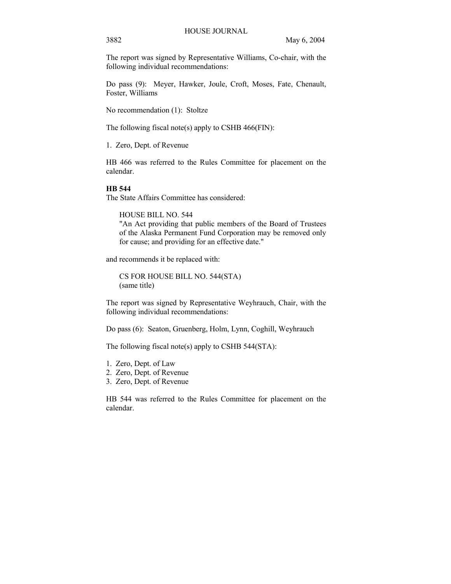The report was signed by Representative Williams, Co-chair, with the following individual recommendations:

Do pass (9): Meyer, Hawker, Joule, Croft, Moses, Fate, Chenault, Foster, Williams

No recommendation (1): Stoltze

The following fiscal note(s) apply to CSHB 466(FIN):

1. Zero, Dept. of Revenue

HB 466 was referred to the Rules Committee for placement on the calendar.

#### **HB 544**

The State Affairs Committee has considered:

HOUSE BILL NO. 544

"An Act providing that public members of the Board of Trustees of the Alaska Permanent Fund Corporation may be removed only for cause; and providing for an effective date."

and recommends it be replaced with:

CS FOR HOUSE BILL NO. 544(STA) (same title)

The report was signed by Representative Weyhrauch, Chair, with the following individual recommendations:

Do pass (6): Seaton, Gruenberg, Holm, Lynn, Coghill, Weyhrauch

The following fiscal note(s) apply to CSHB 544(STA):

- 1. Zero, Dept. of Law
- 2. Zero, Dept. of Revenue
- 3. Zero, Dept. of Revenue

HB 544 was referred to the Rules Committee for placement on the calendar.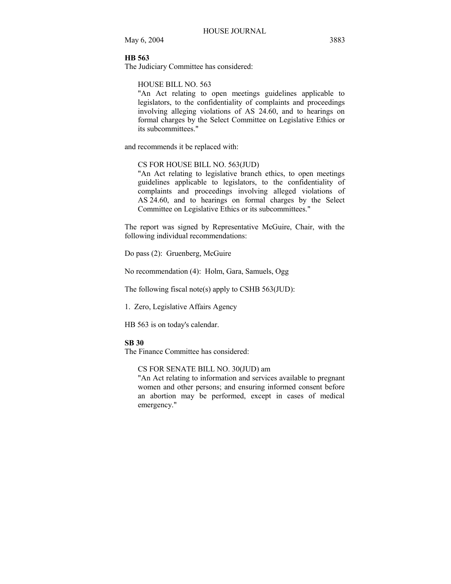# **HB 563**

The Judiciary Committee has considered:

#### HOUSE BILL NO. 563

"An Act relating to open meetings guidelines applicable to legislators, to the confidentiality of complaints and proceedings involving alleging violations of AS 24.60, and to hearings on formal charges by the Select Committee on Legislative Ethics or its subcommittees."

and recommends it be replaced with:

# CS FOR HOUSE BILL NO. 563(JUD)

"An Act relating to legislative branch ethics, to open meetings guidelines applicable to legislators, to the confidentiality of complaints and proceedings involving alleged violations of AS 24.60, and to hearings on formal charges by the Select Committee on Legislative Ethics or its subcommittees."

The report was signed by Representative McGuire, Chair, with the following individual recommendations:

Do pass (2): Gruenberg, McGuire

No recommendation (4): Holm, Gara, Samuels, Ogg

The following fiscal note(s) apply to CSHB 563(JUD):

1. Zero, Legislative Affairs Agency

HB 563 is on today's calendar.

### **SB 30**

The Finance Committee has considered:

CS FOR SENATE BILL NO. 30(JUD) am

"An Act relating to information and services available to pregnant women and other persons; and ensuring informed consent before an abortion may be performed, except in cases of medical emergency."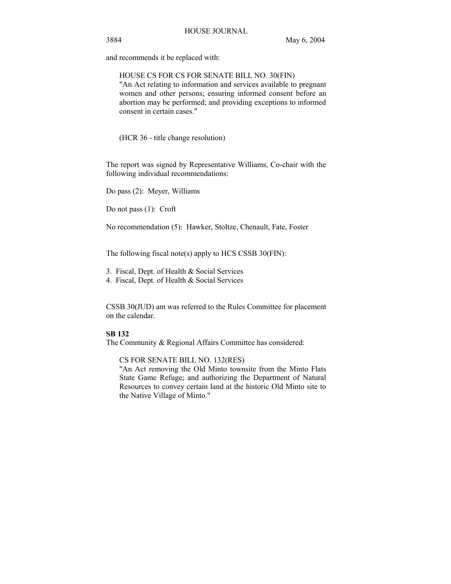and recommends it be replaced with:

HOUSE CS FOR CS FOR SENATE BILL NO. 30(FIN) "An Act relating to information and services available to pregnant women and other persons; ensuring informed consent before an abortion may be performed; and providing exceptions to informed consent in certain cases."

(HCR 36 - title change resolution)

The report was signed by Representative Williams, Co-chair with the following individual recommendations:

Do pass (2): Meyer, Williams

Do not pass (1): Croft

No recommendation (5): Hawker, Stoltze, Chenault, Fate, Foster

The following fiscal note(s) apply to HCS CSSB 30(FIN):

- 3. Fiscal, Dept. of Health & Social Services
- 4. Fiscal, Dept. of Health & Social Services

CSSB 30(JUD) am was referred to the Rules Committee for placement on the calendar.

# **SB 132**

The Community & Regional Affairs Committee has considered:

CS FOR SENATE BILL NO. 132(RES)

"An Act removing the Old Minto townsite from the Minto Flats State Game Refuge; and authorizing the Department of Natural Resources to convey certain land at the historic Old Minto site to the Native Village of Minto."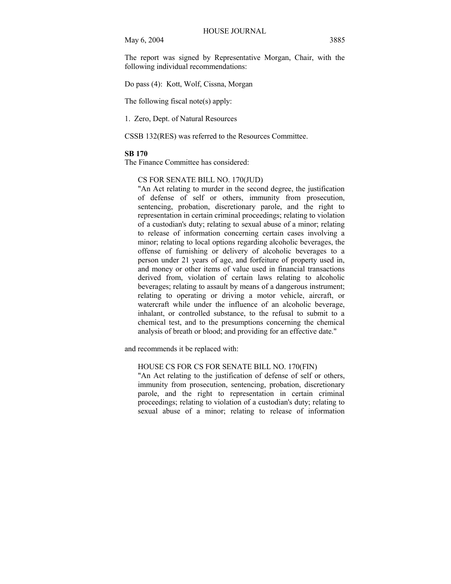May 6, 2004 3885

The report was signed by Representative Morgan, Chair, with the following individual recommendations:

Do pass (4): Kott, Wolf, Cissna, Morgan

The following fiscal note(s) apply:

1. Zero, Dept. of Natural Resources

CSSB 132(RES) was referred to the Resources Committee.

#### **SB 170**

The Finance Committee has considered:

#### CS FOR SENATE BILL NO. 170(JUD)

"An Act relating to murder in the second degree, the justification of defense of self or others, immunity from prosecution, sentencing, probation, discretionary parole, and the right to representation in certain criminal proceedings; relating to violation of a custodian's duty; relating to sexual abuse of a minor; relating to release of information concerning certain cases involving a minor; relating to local options regarding alcoholic beverages, the offense of furnishing or delivery of alcoholic beverages to a person under 21 years of age, and forfeiture of property used in, and money or other items of value used in financial transactions derived from, violation of certain laws relating to alcoholic beverages; relating to assault by means of a dangerous instrument; relating to operating or driving a motor vehicle, aircraft, or watercraft while under the influence of an alcoholic beverage, inhalant, or controlled substance, to the refusal to submit to a chemical test, and to the presumptions concerning the chemical analysis of breath or blood; and providing for an effective date."

and recommends it be replaced with:

# HOUSE CS FOR CS FOR SENATE BILL NO. 170(FIN)

"An Act relating to the justification of defense of self or others, immunity from prosecution, sentencing, probation, discretionary parole, and the right to representation in certain criminal proceedings; relating to violation of a custodian's duty; relating to sexual abuse of a minor; relating to release of information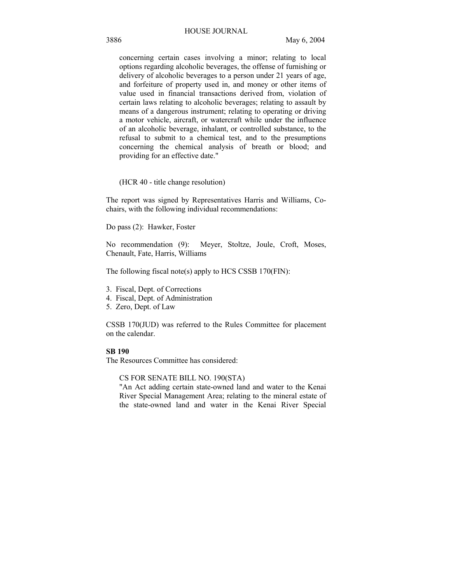### HOUSE JOURNAL

concerning certain cases involving a minor; relating to local options regarding alcoholic beverages, the offense of furnishing or delivery of alcoholic beverages to a person under 21 years of age, and forfeiture of property used in, and money or other items of value used in financial transactions derived from, violation of certain laws relating to alcoholic beverages; relating to assault by means of a dangerous instrument; relating to operating or driving a motor vehicle, aircraft, or watercraft while under the influence of an alcoholic beverage, inhalant, or controlled substance, to the refusal to submit to a chemical test, and to the presumptions concerning the chemical analysis of breath or blood; and providing for an effective date."

(HCR 40 - title change resolution)

The report was signed by Representatives Harris and Williams, Cochairs, with the following individual recommendations:

Do pass (2): Hawker, Foster

No recommendation (9): Meyer, Stoltze, Joule, Croft, Moses, Chenault, Fate, Harris, Williams

The following fiscal note(s) apply to HCS CSSB 170(FIN):

- 3. Fiscal, Dept. of Corrections
- 4. Fiscal, Dept. of Administration
- 5. Zero, Dept. of Law

CSSB 170(JUD) was referred to the Rules Committee for placement on the calendar.

#### **SB 190**

The Resources Committee has considered:

CS FOR SENATE BILL NO. 190(STA)

"An Act adding certain state-owned land and water to the Kenai River Special Management Area; relating to the mineral estate of the state-owned land and water in the Kenai River Special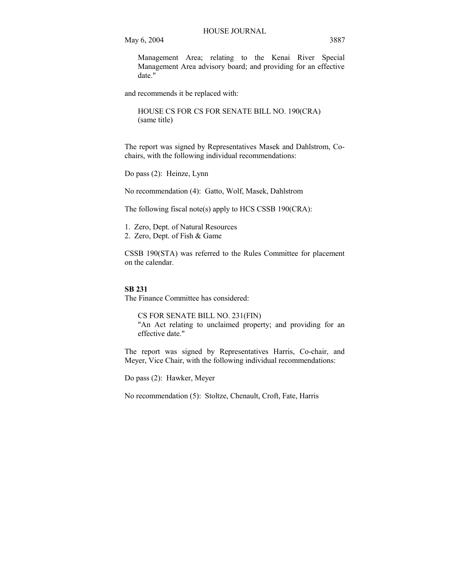May 6, 2004 3887

Management Area; relating to the Kenai River Special Management Area advisory board; and providing for an effective date."

and recommends it be replaced with:

HOUSE CS FOR CS FOR SENATE BILL NO. 190(CRA) (same title)

The report was signed by Representatives Masek and Dahlstrom, Cochairs, with the following individual recommendations:

Do pass (2): Heinze, Lynn

No recommendation (4): Gatto, Wolf, Masek, Dahlstrom

The following fiscal note(s) apply to HCS CSSB 190(CRA):

1. Zero, Dept. of Natural Resources

2. Zero, Dept. of Fish & Game

CSSB 190(STA) was referred to the Rules Committee for placement on the calendar.

#### **SB 231**

The Finance Committee has considered:

CS FOR SENATE BILL NO. 231(FIN) "An Act relating to unclaimed property; and providing for an effective date."

The report was signed by Representatives Harris, Co-chair, and Meyer, Vice Chair, with the following individual recommendations:

Do pass (2): Hawker, Meyer

No recommendation (5): Stoltze, Chenault, Croft, Fate, Harris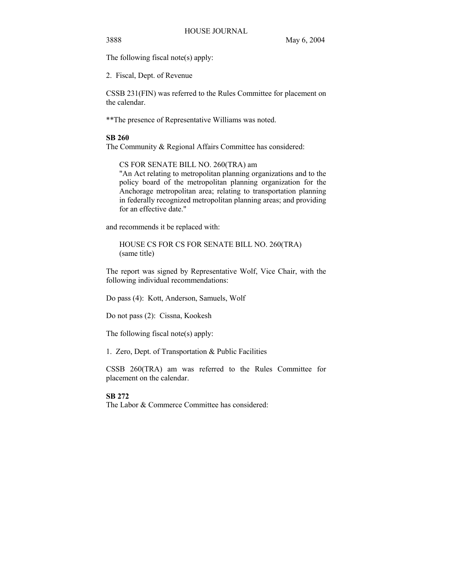The following fiscal note(s) apply:

2. Fiscal, Dept. of Revenue

CSSB 231(FIN) was referred to the Rules Committee for placement on the calendar.

\*\*The presence of Representative Williams was noted.

### **SB 260**

The Community & Regional Affairs Committee has considered:

CS FOR SENATE BILL NO. 260(TRA) am "An Act relating to metropolitan planning organizations and to the policy board of the metropolitan planning organization for the Anchorage metropolitan area; relating to transportation planning in federally recognized metropolitan planning areas; and providing for an effective date."

and recommends it be replaced with:

HOUSE CS FOR CS FOR SENATE BILL NO. 260(TRA) (same title)

The report was signed by Representative Wolf, Vice Chair, with the following individual recommendations:

Do pass (4): Kott, Anderson, Samuels, Wolf

Do not pass (2): Cissna, Kookesh

The following fiscal note(s) apply:

1. Zero, Dept. of Transportation & Public Facilities

CSSB 260(TRA) am was referred to the Rules Committee for placement on the calendar.

### **SB 272**

The Labor & Commerce Committee has considered: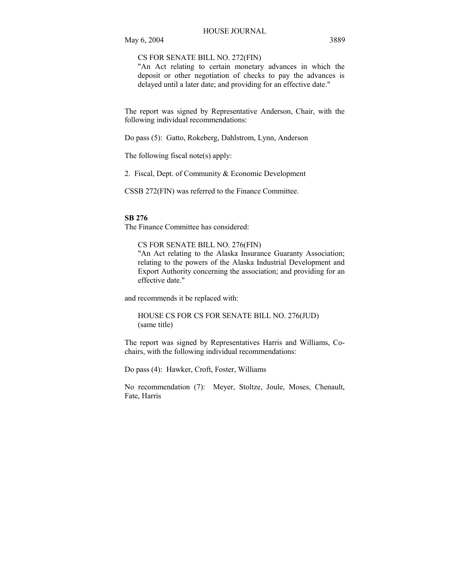CS FOR SENATE BILL NO. 272(FIN)

"An Act relating to certain monetary advances in which the deposit or other negotiation of checks to pay the advances is delayed until a later date; and providing for an effective date."

The report was signed by Representative Anderson, Chair, with the following individual recommendations:

Do pass (5): Gatto, Rokeberg, Dahlstrom, Lynn, Anderson

The following fiscal note(s) apply:

2. Fiscal, Dept. of Community & Economic Development

CSSB 272(FIN) was referred to the Finance Committee.

#### **SB 276**

The Finance Committee has considered:

CS FOR SENATE BILL NO. 276(FIN) "An Act relating to the Alaska Insurance Guaranty Association; relating to the powers of the Alaska Industrial Development and Export Authority concerning the association; and providing for an effective date."

and recommends it be replaced with:

HOUSE CS FOR CS FOR SENATE BILL NO. 276(JUD) (same title)

The report was signed by Representatives Harris and Williams, Cochairs, with the following individual recommendations:

Do pass (4): Hawker, Croft, Foster, Williams

No recommendation (7): Meyer, Stoltze, Joule, Moses, Chenault, Fate, Harris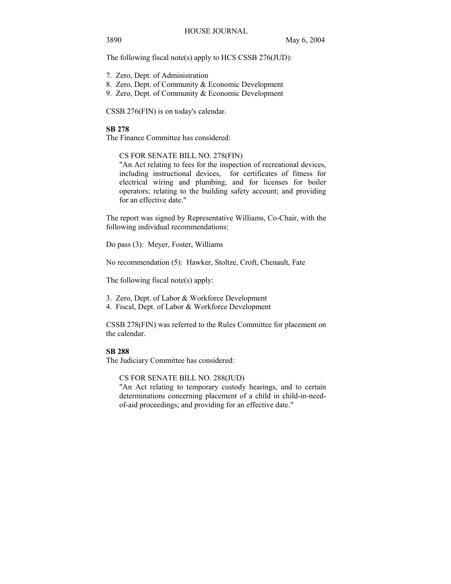The following fiscal note(s) apply to HCS CSSB 276(JUD):

- 7. Zero, Dept. of Administration
- 8. Zero, Dept. of Community & Economic Development
- 9. Zero, Dept. of Community & Economic Development

CSSB 276(FIN) is on today's calendar.

#### **SB 278**

The Finance Committee has considered:

CS FOR SENATE BILL NO. 278(FIN)

"An Act relating to fees for the inspection of recreational devices, including instructional devices, for certificates of fitness for electrical wiring and plumbing, and for licenses for boiler operators; relating to the building safety account; and providing for an effective date."

The report was signed by Representative Williams, Co-Chair, with the following individual recommendations:

Do pass (3): Meyer, Foster, Williams

No recommendation (5): Hawker, Stoltze, Croft, Chenault, Fate

The following fiscal note(s) apply:

- 3. Zero, Dept. of Labor & Workforce Development
- 4. Fiscal, Dept. of Labor & Workforce Development

CSSB 278(FIN) was referred to the Rules Committee for placement on the calendar.

#### **SB 288**

The Judiciary Committee has considered:

CS FOR SENATE BILL NO. 288(JUD)

"An Act relating to temporary custody hearings, and to certain determinations concerning placement of a child in child-in-needof-aid proceedings; and providing for an effective date."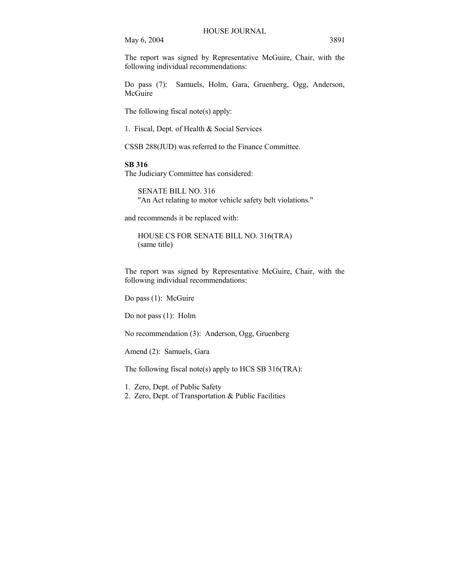May 6, 2004 3891

The report was signed by Representative McGuire, Chair, with the following individual recommendations:

Do pass (7): Samuels, Holm, Gara, Gruenberg, Ogg, Anderson, McGuire

The following fiscal note(s) apply:

1. Fiscal, Dept. of Health & Social Services

CSSB 288(JUD) was referred to the Finance Committee.

#### **SB 316**

The Judiciary Committee has considered:

SENATE BILL NO. 316 "An Act relating to motor vehicle safety belt violations."

and recommends it be replaced with:

HOUSE CS FOR SENATE BILL NO. 316(TRA) (same title)

The report was signed by Representative McGuire, Chair, with the following individual recommendations:

Do pass (1): McGuire

Do not pass (1): Holm

No recommendation (3): Anderson, Ogg, Gruenberg

Amend (2): Samuels, Gara

The following fiscal note(s) apply to HCS SB 316(TRA):

1. Zero, Dept. of Public Safety

2. Zero, Dept. of Transportation & Public Facilities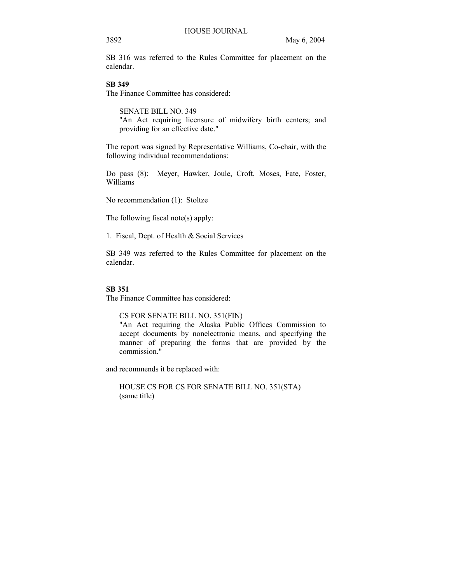SB 316 was referred to the Rules Committee for placement on the calendar.

# **SB 349**

The Finance Committee has considered:

SENATE BILL NO. 349 "An Act requiring licensure of midwifery birth centers; and providing for an effective date."

The report was signed by Representative Williams, Co-chair, with the following individual recommendations:

Do pass (8): Meyer, Hawker, Joule, Croft, Moses, Fate, Foster, Williams

No recommendation (1): Stoltze

The following fiscal note(s) apply:

1. Fiscal, Dept. of Health & Social Services

SB 349 was referred to the Rules Committee for placement on the calendar.

#### **SB 351**

The Finance Committee has considered:

CS FOR SENATE BILL NO. 351(FIN)

"An Act requiring the Alaska Public Offices Commission to accept documents by nonelectronic means, and specifying the manner of preparing the forms that are provided by the commission."

and recommends it be replaced with:

HOUSE CS FOR CS FOR SENATE BILL NO. 351(STA) (same title)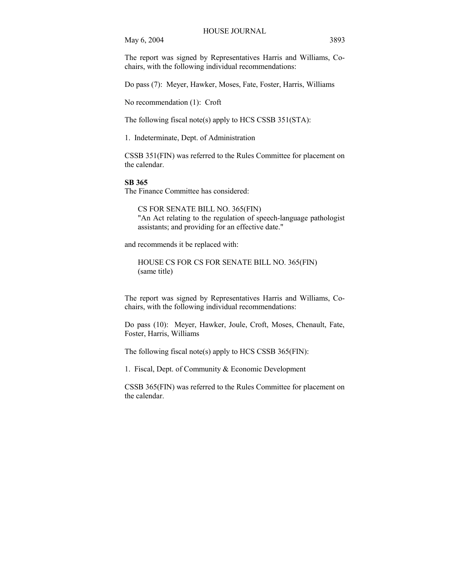May 6, 2004 3893

The report was signed by Representatives Harris and Williams, Cochairs, with the following individual recommendations:

Do pass (7): Meyer, Hawker, Moses, Fate, Foster, Harris, Williams

No recommendation (1): Croft

The following fiscal note(s) apply to HCS CSSB 351(STA):

1. Indeterminate, Dept. of Administration

CSSB 351(FIN) was referred to the Rules Committee for placement on the calendar.

#### **SB 365**

The Finance Committee has considered:

CS FOR SENATE BILL NO. 365(FIN) "An Act relating to the regulation of speech-language pathologist assistants; and providing for an effective date."

and recommends it be replaced with:

HOUSE CS FOR CS FOR SENATE BILL NO. 365(FIN) (same title)

The report was signed by Representatives Harris and Williams, Cochairs, with the following individual recommendations:

Do pass (10): Meyer, Hawker, Joule, Croft, Moses, Chenault, Fate, Foster, Harris, Williams

The following fiscal note(s) apply to HCS CSSB 365(FIN):

1. Fiscal, Dept. of Community & Economic Development

CSSB 365(FIN) was referred to the Rules Committee for placement on the calendar.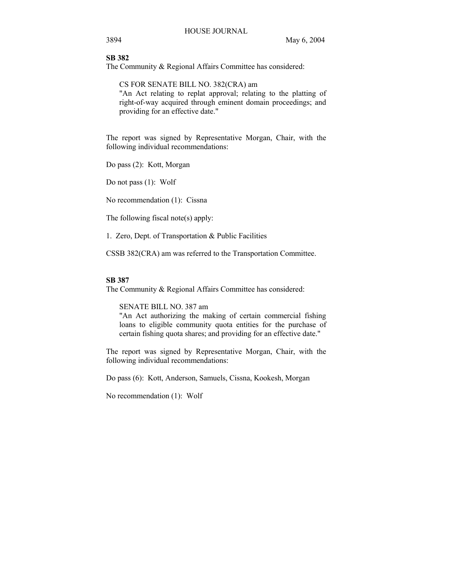# **SB 382**

The Community & Regional Affairs Committee has considered:

CS FOR SENATE BILL NO. 382(CRA) am "An Act relating to replat approval; relating to the platting of right-of-way acquired through eminent domain proceedings; and providing for an effective date."

The report was signed by Representative Morgan, Chair, with the following individual recommendations:

Do pass (2): Kott, Morgan

Do not pass (1): Wolf

No recommendation (1): Cissna

The following fiscal note(s) apply:

1. Zero, Dept. of Transportation & Public Facilities

CSSB 382(CRA) am was referred to the Transportation Committee.

#### **SB 387**

The Community & Regional Affairs Committee has considered:

SENATE BILL NO. 387 am

"An Act authorizing the making of certain commercial fishing loans to eligible community quota entities for the purchase of certain fishing quota shares; and providing for an effective date."

The report was signed by Representative Morgan, Chair, with the following individual recommendations:

Do pass (6): Kott, Anderson, Samuels, Cissna, Kookesh, Morgan

No recommendation (1): Wolf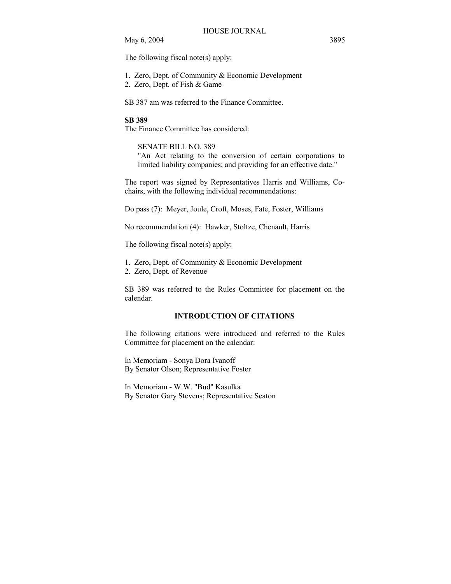May 6, 2004 3895

The following fiscal note(s) apply:

1. Zero, Dept. of Community & Economic Development

2. Zero, Dept. of Fish & Game

SB 387 am was referred to the Finance Committee.

#### **SB 389**

The Finance Committee has considered:

SENATE BILL NO. 389 "An Act relating to the conversion of certain corporations to limited liability companies; and providing for an effective date."

The report was signed by Representatives Harris and Williams, Cochairs, with the following individual recommendations:

Do pass (7): Meyer, Joule, Croft, Moses, Fate, Foster, Williams

No recommendation (4): Hawker, Stoltze, Chenault, Harris

The following fiscal note(s) apply:

1. Zero, Dept. of Community & Economic Development

2. Zero, Dept. of Revenue

SB 389 was referred to the Rules Committee for placement on the calendar.

# **INTRODUCTION OF CITATIONS**

The following citations were introduced and referred to the Rules Committee for placement on the calendar:

In Memoriam - Sonya Dora Ivanoff By Senator Olson; Representative Foster

In Memoriam - W.W. "Bud" Kasulka By Senator Gary Stevens; Representative Seaton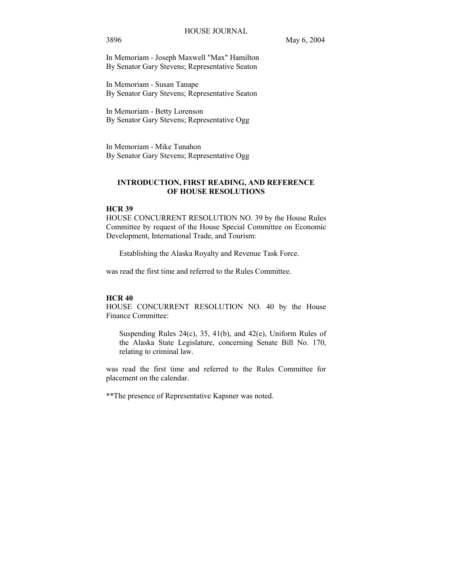In Memoriam - Joseph Maxwell "Max" Hamilton By Senator Gary Stevens; Representative Seaton

In Memoriam - Susan Tanape By Senator Gary Stevens; Representative Seaton

In Memoriam - Betty Lorenson By Senator Gary Stevens; Representative Ogg

In Memoriam - Mike Tunahon By Senator Gary Stevens; Representative Ogg

# **INTRODUCTION, FIRST READING, AND REFERENCE OF HOUSE RESOLUTIONS**

# **HCR 39**

HOUSE CONCURRENT RESOLUTION NO. 39 by the House Rules Committee by request of the House Special Committee on Economic Development, International Trade, and Tourism:

Establishing the Alaska Royalty and Revenue Task Force.

was read the first time and referred to the Rules Committee.

#### **HCR 40**

HOUSE CONCURRENT RESOLUTION NO. 40 by the House Finance Committee:

Suspending Rules 24(c), 35, 41(b), and 42(e), Uniform Rules of the Alaska State Legislature, concerning Senate Bill No. 170, relating to criminal law.

was read the first time and referred to the Rules Committee for placement on the calendar.

\*\*The presence of Representative Kapsner was noted.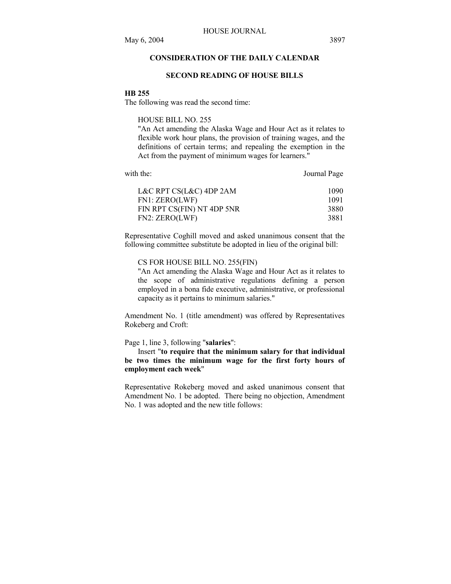# **CONSIDERATION OF THE DAILY CALENDAR**

#### **SECOND READING OF HOUSE BILLS**

#### **HB 255**

The following was read the second time:

HOUSE BILL NO. 255

"An Act amending the Alaska Wage and Hour Act as it relates to flexible work hour plans, the provision of training wages, and the definitions of certain terms; and repealing the exemption in the Act from the payment of minimum wages for learners."

| with the: |  |
|-----------|--|
|           |  |

Journal Page

| 1090 |
|------|
| 1091 |
| 3880 |
| 3881 |
|      |

Representative Coghill moved and asked unanimous consent that the following committee substitute be adopted in lieu of the original bill:

#### CS FOR HOUSE BILL NO. 255(FIN)

"An Act amending the Alaska Wage and Hour Act as it relates to the scope of administrative regulations defining a person employed in a bona fide executive, administrative, or professional capacity as it pertains to minimum salaries."

Amendment No. 1 (title amendment) was offered by Representatives Rokeberg and Croft:

Page 1, line 3, following "**salaries**":

 Insert "**to require that the minimum salary for that individual be two times the minimum wage for the first forty hours of employment each week**"

Representative Rokeberg moved and asked unanimous consent that Amendment No. 1 be adopted. There being no objection, Amendment No. 1 was adopted and the new title follows: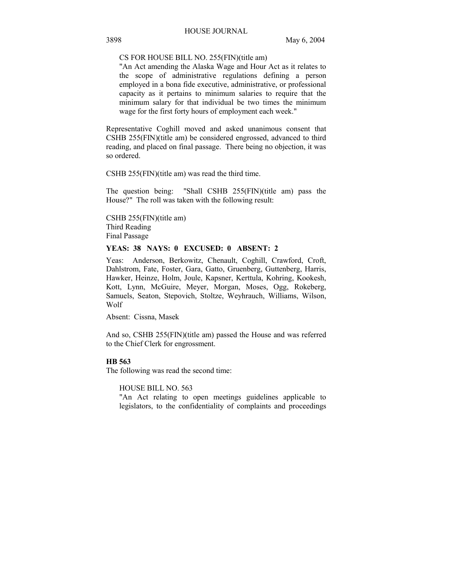# CS FOR HOUSE BILL NO. 255(FIN)(title am)

"An Act amending the Alaska Wage and Hour Act as it relates to the scope of administrative regulations defining a person employed in a bona fide executive, administrative, or professional capacity as it pertains to minimum salaries to require that the minimum salary for that individual be two times the minimum wage for the first forty hours of employment each week."

Representative Coghill moved and asked unanimous consent that CSHB 255(FIN)(title am) be considered engrossed, advanced to third reading, and placed on final passage. There being no objection, it was so ordered.

CSHB 255(FIN)(title am) was read the third time.

The question being: "Shall CSHB 255(FIN)(title am) pass the House?" The roll was taken with the following result:

CSHB 255(FIN)(title am) Third Reading Final Passage

# **YEAS: 38 NAYS: 0 EXCUSED: 0 ABSENT: 2**

Yeas: Anderson, Berkowitz, Chenault, Coghill, Crawford, Croft, Dahlstrom, Fate, Foster, Gara, Gatto, Gruenberg, Guttenberg, Harris, Hawker, Heinze, Holm, Joule, Kapsner, Kerttula, Kohring, Kookesh, Kott, Lynn, McGuire, Meyer, Morgan, Moses, Ogg, Rokeberg, Samuels, Seaton, Stepovich, Stoltze, Weyhrauch, Williams, Wilson, Wolf

Absent: Cissna, Masek

And so, CSHB 255(FIN)(title am) passed the House and was referred to the Chief Clerk for engrossment.

#### **HB 563**

The following was read the second time:

HOUSE BILL NO. 563

"An Act relating to open meetings guidelines applicable to legislators, to the confidentiality of complaints and proceedings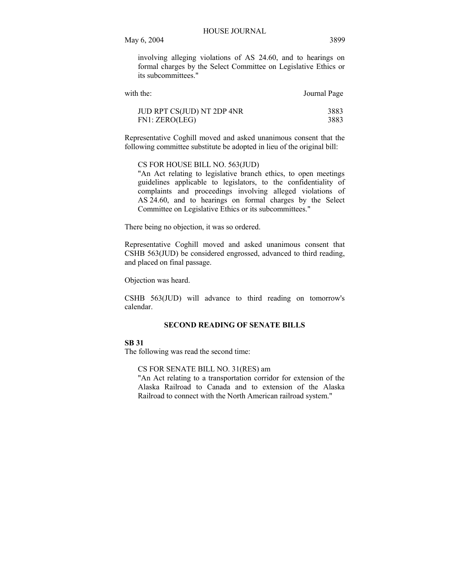involving alleging violations of AS 24.60, and to hearings on formal charges by the Select Committee on Legislative Ethics or its subcommittees."

| with the:                  | Journal Page |
|----------------------------|--------------|
| JUD RPT CS(JUD) NT 2DP 4NR | 3883         |
| FN1: ZERO(LEG)             | 3883         |

Representative Coghill moved and asked unanimous consent that the following committee substitute be adopted in lieu of the original bill:

CS FOR HOUSE BILL NO. 563(JUD)

"An Act relating to legislative branch ethics, to open meetings guidelines applicable to legislators, to the confidentiality of complaints and proceedings involving alleged violations of AS 24.60, and to hearings on formal charges by the Select Committee on Legislative Ethics or its subcommittees."

There being no objection, it was so ordered.

Representative Coghill moved and asked unanimous consent that CSHB 563(JUD) be considered engrossed, advanced to third reading, and placed on final passage.

Objection was heard.

CSHB 563(JUD) will advance to third reading on tomorrow's calendar.

# **SECOND READING OF SENATE BILLS**

# **SB 31**

The following was read the second time:

CS FOR SENATE BILL NO. 31(RES) am

"An Act relating to a transportation corridor for extension of the Alaska Railroad to Canada and to extension of the Alaska Railroad to connect with the North American railroad system."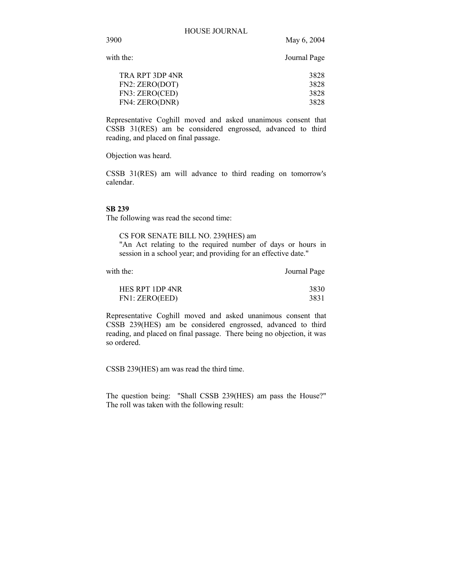3900 May 6, 2004

Journal Page

| 3828 |
|------|
| 3828 |
| 3828 |
| 3828 |
|      |

Representative Coghill moved and asked unanimous consent that CSSB 31(RES) am be considered engrossed, advanced to third reading, and placed on final passage.

Objection was heard.

CSSB 31(RES) am will advance to third reading on tomorrow's calendar.

# **SB 239**

The following was read the second time:

CS FOR SENATE BILL NO. 239(HES) am "An Act relating to the required number of days or hours in session in a school year; and providing for an effective date."

with the: Journal Page

| HES RPT 1DP 4NR | 3830 |
|-----------------|------|
| FN1: ZERO(EED)  | 3831 |

Representative Coghill moved and asked unanimous consent that CSSB 239(HES) am be considered engrossed, advanced to third reading, and placed on final passage. There being no objection, it was so ordered.

CSSB 239(HES) am was read the third time.

The question being: "Shall CSSB 239(HES) am pass the House?" The roll was taken with the following result: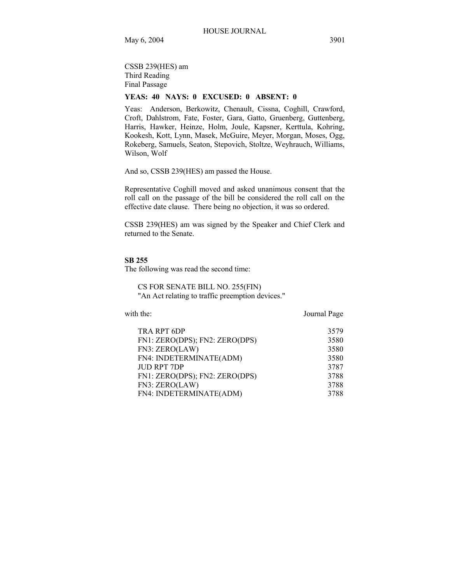CSSB 239(HES) am Third Reading Final Passage

# **YEAS: 40 NAYS: 0 EXCUSED: 0 ABSENT: 0**

Yeas: Anderson, Berkowitz, Chenault, Cissna, Coghill, Crawford, Croft, Dahlstrom, Fate, Foster, Gara, Gatto, Gruenberg, Guttenberg, Harris, Hawker, Heinze, Holm, Joule, Kapsner, Kerttula, Kohring, Kookesh, Kott, Lynn, Masek, McGuire, Meyer, Morgan, Moses, Ogg, Rokeberg, Samuels, Seaton, Stepovich, Stoltze, Weyhrauch, Williams, Wilson, Wolf

And so, CSSB 239(HES) am passed the House.

Representative Coghill moved and asked unanimous consent that the roll call on the passage of the bill be considered the roll call on the effective date clause. There being no objection, it was so ordered.

CSSB 239(HES) am was signed by the Speaker and Chief Clerk and returned to the Senate.

#### **SB 255**

The following was read the second time:

CS FOR SENATE BILL NO. 255(FIN) "An Act relating to traffic preemption devices."

with the: Journal Page

| <b>TRA RPT 6DP</b><br>FN1: ZERO(DPS); FN2: ZERO(DPS)<br>FN3: ZERO(LAW)<br>FN4: INDETERMINATE(ADM)<br>JUD RPT 7DP<br>FN1: ZERO(DPS); FN2: ZERO(DPS)<br>FN3: ZERO(LAW) | 3579<br>3580<br>3580<br>3580<br>3787<br>3788<br>3788 |
|----------------------------------------------------------------------------------------------------------------------------------------------------------------------|------------------------------------------------------|
| FN4: INDETERMINATE(ADM)                                                                                                                                              | 3788                                                 |
|                                                                                                                                                                      |                                                      |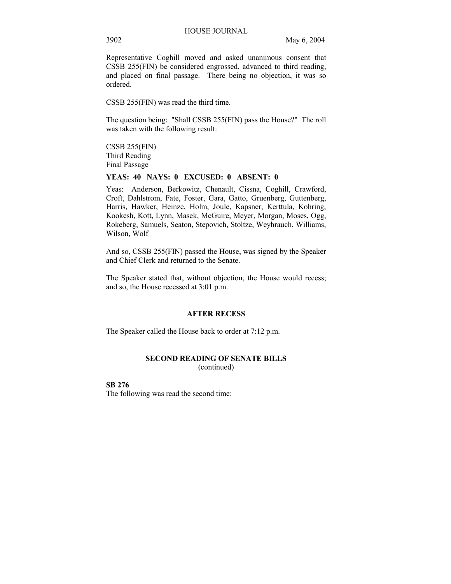Representative Coghill moved and asked unanimous consent that CSSB 255(FIN) be considered engrossed, advanced to third reading, and placed on final passage. There being no objection, it was so ordered.

CSSB 255(FIN) was read the third time.

The question being: "Shall CSSB 255(FIN) pass the House?" The roll was taken with the following result:

CSSB 255(FIN) Third Reading Final Passage

#### **YEAS: 40 NAYS: 0 EXCUSED: 0 ABSENT: 0**

Yeas: Anderson, Berkowitz, Chenault, Cissna, Coghill, Crawford, Croft, Dahlstrom, Fate, Foster, Gara, Gatto, Gruenberg, Guttenberg, Harris, Hawker, Heinze, Holm, Joule, Kapsner, Kerttula, Kohring, Kookesh, Kott, Lynn, Masek, McGuire, Meyer, Morgan, Moses, Ogg, Rokeberg, Samuels, Seaton, Stepovich, Stoltze, Weyhrauch, Williams, Wilson, Wolf

And so, CSSB 255(FIN) passed the House, was signed by the Speaker and Chief Clerk and returned to the Senate.

The Speaker stated that, without objection, the House would recess; and so, the House recessed at 3:01 p.m.

### **AFTER RECESS**

The Speaker called the House back to order at 7:12 p.m.

#### **SECOND READING OF SENATE BILLS**  (continued)

**SB 276** The following was read the second time: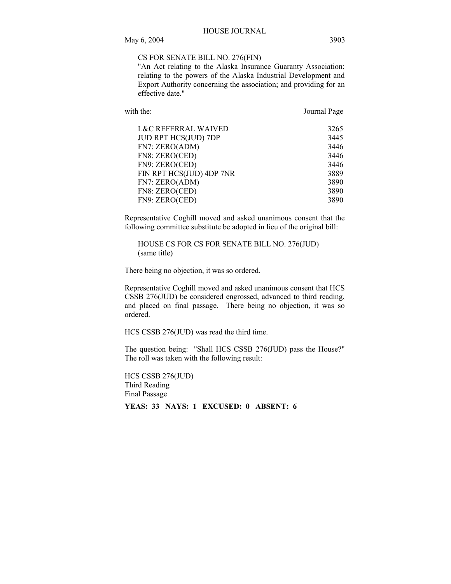CS FOR SENATE BILL NO. 276(FIN)

"An Act relating to the Alaska Insurance Guaranty Association; relating to the powers of the Alaska Industrial Development and Export Authority concerning the association; and providing for an effective date."

with the: Journal Page

| <b>L&amp;C REFERRAL WAIVED</b> | 3265 |
|--------------------------------|------|
| JUD RPT HCS(JUD) 7DP           | 3445 |
| FN7: ZERO(ADM)                 | 3446 |
| FN8: ZERO(CED)                 | 3446 |
| FN9: ZERO(CED)                 | 3446 |
| FIN RPT HCS(JUD) 4DP 7NR       | 3889 |
| FN7: ZERO(ADM)                 | 3890 |
| FN8: ZERO(CED)                 | 3890 |
| FN9: ZERO(CED)                 | 3890 |

Representative Coghill moved and asked unanimous consent that the following committee substitute be adopted in lieu of the original bill:

HOUSE CS FOR CS FOR SENATE BILL NO. 276(JUD) (same title)

There being no objection, it was so ordered.

Representative Coghill moved and asked unanimous consent that HCS CSSB 276(JUD) be considered engrossed, advanced to third reading, and placed on final passage. There being no objection, it was so ordered.

HCS CSSB 276(JUD) was read the third time.

The question being: "Shall HCS CSSB 276(JUD) pass the House?" The roll was taken with the following result:

HCS CSSB 276(JUD) Third Reading Final Passage **YEAS: 33 NAYS: 1 EXCUSED: 0 ABSENT: 6**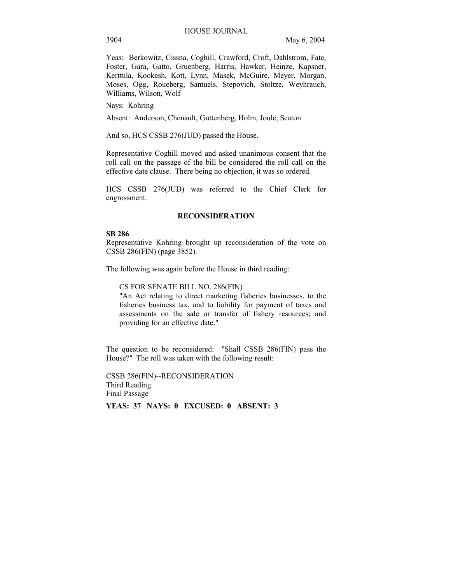Yeas: Berkowitz, Cissna, Coghill, Crawford, Croft, Dahlstrom, Fate, Foster, Gara, Gatto, Gruenberg, Harris, Hawker, Heinze, Kapsner, Kerttula, Kookesh, Kott, Lynn, Masek, McGuire, Meyer, Morgan, Moses, Ogg, Rokeberg, Samuels, Stepovich, Stoltze, Weyhrauch, Williams, Wilson, Wolf

Nays: Kohring

Absent: Anderson, Chenault, Guttenberg, Holm, Joule, Seaton

And so, HCS CSSB 276(JUD) passed the House.

Representative Coghill moved and asked unanimous consent that the roll call on the passage of the bill be considered the roll call on the effective date clause. There being no objection, it was so ordered.

HCS CSSB 276(JUD) was referred to the Chief Clerk for engrossment.

#### **RECONSIDERATION**

#### **SB 286**

Representative Kohring brought up reconsideration of the vote on CSSB 286(FIN) (page 3852).

The following was again before the House in third reading:

CS FOR SENATE BILL NO. 286(FIN)

"An Act relating to direct marketing fisheries businesses, to the fisheries business tax, and to liability for payment of taxes and assessments on the sale or transfer of fishery resources; and providing for an effective date."

The question to be reconsidered: "Shall CSSB 286(FIN) pass the House?" The roll was taken with the following result:

CSSB 286(FIN)--RECONSIDERATION Third Reading Final Passage

**YEAS: 37 NAYS: 0 EXCUSED: 0 ABSENT: 3**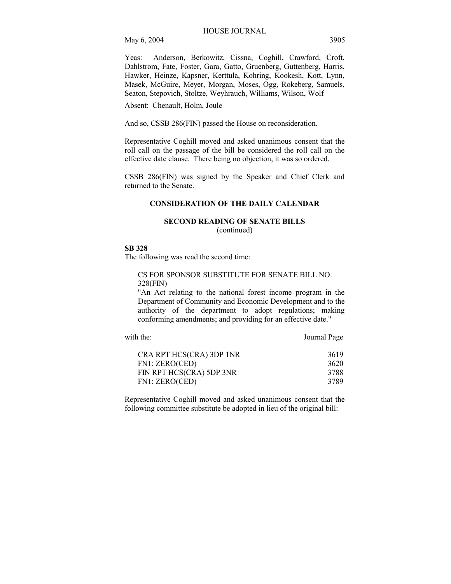Yeas: Anderson, Berkowitz, Cissna, Coghill, Crawford, Croft, Dahlstrom, Fate, Foster, Gara, Gatto, Gruenberg, Guttenberg, Harris, Hawker, Heinze, Kapsner, Kerttula, Kohring, Kookesh, Kott, Lynn, Masek, McGuire, Meyer, Morgan, Moses, Ogg, Rokeberg, Samuels, Seaton, Stepovich, Stoltze, Weyhrauch, Williams, Wilson, Wolf

Absent: Chenault, Holm, Joule

And so, CSSB 286(FIN) passed the House on reconsideration.

Representative Coghill moved and asked unanimous consent that the roll call on the passage of the bill be considered the roll call on the effective date clause. There being no objection, it was so ordered.

CSSB 286(FIN) was signed by the Speaker and Chief Clerk and returned to the Senate.

# **CONSIDERATION OF THE DAILY CALENDAR**

# **SECOND READING OF SENATE BILLS**

(continued)

# **SB 328**

The following was read the second time:

CS FOR SPONSOR SUBSTITUTE FOR SENATE BILL NO. 328(FIN)

"An Act relating to the national forest income program in the Department of Community and Economic Development and to the authority of the department to adopt regulations; making conforming amendments; and providing for an effective date."

with the: Journal Page

| CRA RPT HCS(CRA) 3DP 1NR | 3619 |
|--------------------------|------|
| FN1: ZERO(CED)           | 3620 |
| FIN RPT HCS(CRA) 5DP 3NR | 3788 |
| FN1: ZERO(CED)           | 3789 |

Representative Coghill moved and asked unanimous consent that the following committee substitute be adopted in lieu of the original bill: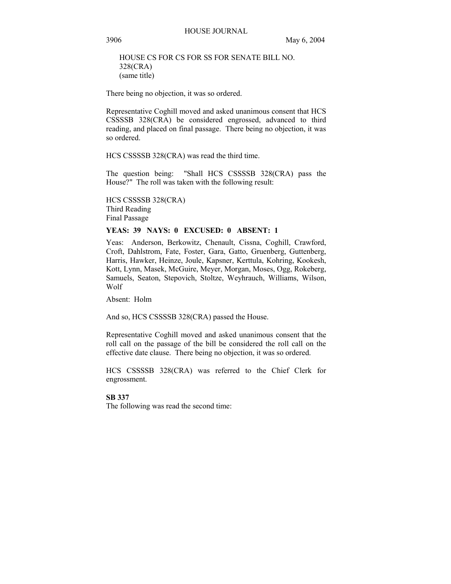# HOUSE CS FOR CS FOR SS FOR SENATE BILL NO. 328(CRA) (same title)

There being no objection, it was so ordered.

Representative Coghill moved and asked unanimous consent that HCS CSSSSB 328(CRA) be considered engrossed, advanced to third reading, and placed on final passage. There being no objection, it was so ordered.

HCS CSSSSB 328(CRA) was read the third time.

The question being: "Shall HCS CSSSSB 328(CRA) pass the House?" The roll was taken with the following result:

HCS CSSSSB 328(CRA) Third Reading Final Passage

#### **YEAS: 39 NAYS: 0 EXCUSED: 0 ABSENT: 1**

Yeas: Anderson, Berkowitz, Chenault, Cissna, Coghill, Crawford, Croft, Dahlstrom, Fate, Foster, Gara, Gatto, Gruenberg, Guttenberg, Harris, Hawker, Heinze, Joule, Kapsner, Kerttula, Kohring, Kookesh, Kott, Lynn, Masek, McGuire, Meyer, Morgan, Moses, Ogg, Rokeberg, Samuels, Seaton, Stepovich, Stoltze, Weyhrauch, Williams, Wilson, Wolf

Absent: Holm

And so, HCS CSSSSB 328(CRA) passed the House.

Representative Coghill moved and asked unanimous consent that the roll call on the passage of the bill be considered the roll call on the effective date clause. There being no objection, it was so ordered.

HCS CSSSSB 328(CRA) was referred to the Chief Clerk for engrossment.

### **SB 337**

The following was read the second time: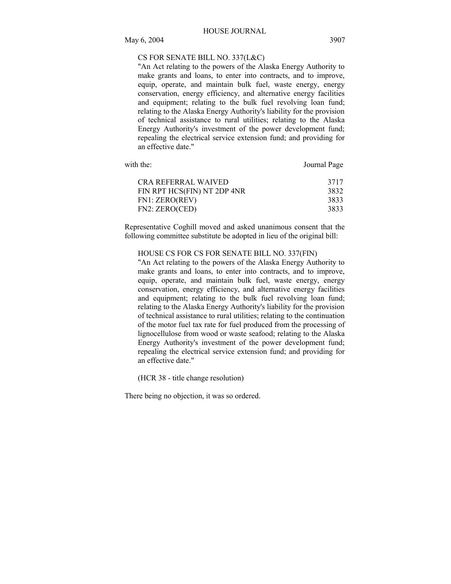# CS FOR SENATE BILL NO. 337(L&C)

"An Act relating to the powers of the Alaska Energy Authority to make grants and loans, to enter into contracts, and to improve, equip, operate, and maintain bulk fuel, waste energy, energy conservation, energy efficiency, and alternative energy facilities and equipment; relating to the bulk fuel revolving loan fund; relating to the Alaska Energy Authority's liability for the provision of technical assistance to rural utilities; relating to the Alaska Energy Authority's investment of the power development fund; repealing the electrical service extension fund; and providing for an effective date."

| with the:                   | Journal Page |  |
|-----------------------------|--------------|--|
| CRA REFERRAL WAIVED         | 3717         |  |
| FIN RPT HCS(FIN) NT 2DP 4NR | 3832         |  |
| FN1: ZERO(REV)              | 3833         |  |
| FN2: ZERO(CED)              | 3833         |  |

Representative Coghill moved and asked unanimous consent that the following committee substitute be adopted in lieu of the original bill:

HOUSE CS FOR CS FOR SENATE BILL NO. 337(FIN)

"An Act relating to the powers of the Alaska Energy Authority to make grants and loans, to enter into contracts, and to improve, equip, operate, and maintain bulk fuel, waste energy, energy conservation, energy efficiency, and alternative energy facilities and equipment; relating to the bulk fuel revolving loan fund; relating to the Alaska Energy Authority's liability for the provision of technical assistance to rural utilities; relating to the continuation of the motor fuel tax rate for fuel produced from the processing of lignocellulose from wood or waste seafood; relating to the Alaska Energy Authority's investment of the power development fund; repealing the electrical service extension fund; and providing for an effective date."

(HCR 38 - title change resolution)

There being no objection, it was so ordered.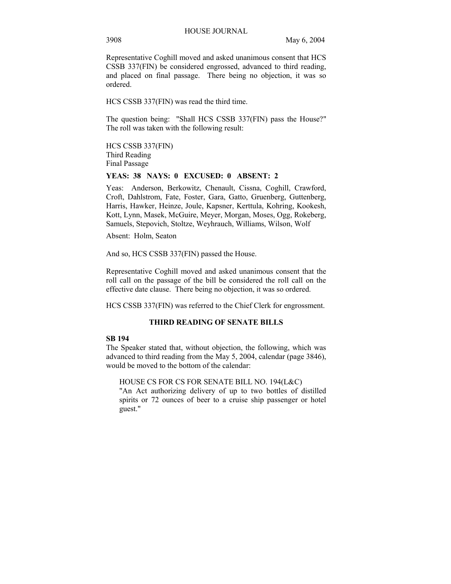Representative Coghill moved and asked unanimous consent that HCS CSSB 337(FIN) be considered engrossed, advanced to third reading, and placed on final passage. There being no objection, it was so ordered.

HCS CSSB 337(FIN) was read the third time.

The question being: "Shall HCS CSSB 337(FIN) pass the House?" The roll was taken with the following result:

HCS CSSB 337(FIN) Third Reading Final Passage

#### **YEAS: 38 NAYS: 0 EXCUSED: 0 ABSENT: 2**

Yeas: Anderson, Berkowitz, Chenault, Cissna, Coghill, Crawford, Croft, Dahlstrom, Fate, Foster, Gara, Gatto, Gruenberg, Guttenberg, Harris, Hawker, Heinze, Joule, Kapsner, Kerttula, Kohring, Kookesh, Kott, Lynn, Masek, McGuire, Meyer, Morgan, Moses, Ogg, Rokeberg, Samuels, Stepovich, Stoltze, Weyhrauch, Williams, Wilson, Wolf

Absent: Holm, Seaton

And so, HCS CSSB 337(FIN) passed the House.

Representative Coghill moved and asked unanimous consent that the roll call on the passage of the bill be considered the roll call on the effective date clause. There being no objection, it was so ordered.

HCS CSSB 337(FIN) was referred to the Chief Clerk for engrossment.

# **THIRD READING OF SENATE BILLS**

#### **SB 194**

The Speaker stated that, without objection, the following, which was advanced to third reading from the May 5, 2004, calendar (page 3846), would be moved to the bottom of the calendar:

HOUSE CS FOR CS FOR SENATE BILL NO. 194(L&C)

"An Act authorizing delivery of up to two bottles of distilled spirits or 72 ounces of beer to a cruise ship passenger or hotel guest."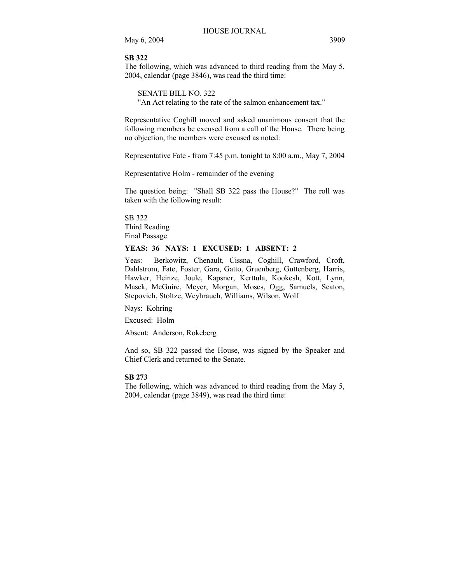May 6, 2004 3909

#### **SB 322**

The following, which was advanced to third reading from the May 5, 2004, calendar (page 3846), was read the third time:

SENATE BILL NO. 322 "An Act relating to the rate of the salmon enhancement tax."

Representative Coghill moved and asked unanimous consent that the following members be excused from a call of the House. There being no objection, the members were excused as noted:

Representative Fate - from 7:45 p.m. tonight to 8:00 a.m., May 7, 2004

Representative Holm - remainder of the evening

The question being: "Shall SB 322 pass the House?" The roll was taken with the following result:

SB 322 Third Reading Final Passage

# **YEAS: 36 NAYS: 1 EXCUSED: 1 ABSENT: 2**

Yeas: Berkowitz, Chenault, Cissna, Coghill, Crawford, Croft, Dahlstrom, Fate, Foster, Gara, Gatto, Gruenberg, Guttenberg, Harris, Hawker, Heinze, Joule, Kapsner, Kerttula, Kookesh, Kott, Lynn, Masek, McGuire, Meyer, Morgan, Moses, Ogg, Samuels, Seaton, Stepovich, Stoltze, Weyhrauch, Williams, Wilson, Wolf

Nays: Kohring

Excused: Holm

Absent: Anderson, Rokeberg

And so, SB 322 passed the House, was signed by the Speaker and Chief Clerk and returned to the Senate.

# **SB 273**

The following, which was advanced to third reading from the May 5, 2004, calendar (page 3849), was read the third time: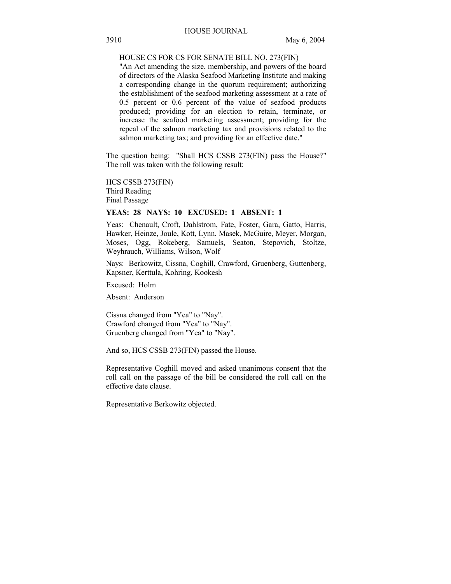# HOUSE CS FOR CS FOR SENATE BILL NO. 273(FIN)

"An Act amending the size, membership, and powers of the board of directors of the Alaska Seafood Marketing Institute and making a corresponding change in the quorum requirement; authorizing the establishment of the seafood marketing assessment at a rate of 0.5 percent or 0.6 percent of the value of seafood products produced; providing for an election to retain, terminate, or increase the seafood marketing assessment; providing for the repeal of the salmon marketing tax and provisions related to the salmon marketing tax; and providing for an effective date."

The question being: "Shall HCS CSSB 273(FIN) pass the House?" The roll was taken with the following result:

HCS CSSB 273(FIN) Third Reading Final Passage

#### **YEAS: 28 NAYS: 10 EXCUSED: 1 ABSENT: 1**

Yeas: Chenault, Croft, Dahlstrom, Fate, Foster, Gara, Gatto, Harris, Hawker, Heinze, Joule, Kott, Lynn, Masek, McGuire, Meyer, Morgan, Moses, Ogg, Rokeberg, Samuels, Seaton, Stepovich, Stoltze, Weyhrauch, Williams, Wilson, Wolf

Nays: Berkowitz, Cissna, Coghill, Crawford, Gruenberg, Guttenberg, Kapsner, Kerttula, Kohring, Kookesh

Excused: Holm

Absent: Anderson

Cissna changed from "Yea" to "Nay". Crawford changed from "Yea" to "Nay". Gruenberg changed from "Yea" to "Nay".

And so, HCS CSSB 273(FIN) passed the House.

Representative Coghill moved and asked unanimous consent that the roll call on the passage of the bill be considered the roll call on the effective date clause.

Representative Berkowitz objected.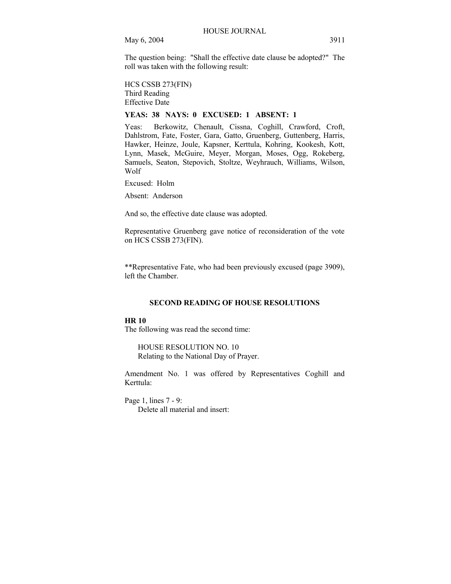The question being: "Shall the effective date clause be adopted?" The roll was taken with the following result:

HCS CSSB 273(FIN) Third Reading Effective Date

# **YEAS: 38 NAYS: 0 EXCUSED: 1 ABSENT: 1**

Yeas: Berkowitz, Chenault, Cissna, Coghill, Crawford, Croft, Dahlstrom, Fate, Foster, Gara, Gatto, Gruenberg, Guttenberg, Harris, Hawker, Heinze, Joule, Kapsner, Kerttula, Kohring, Kookesh, Kott, Lynn, Masek, McGuire, Meyer, Morgan, Moses, Ogg, Rokeberg, Samuels, Seaton, Stepovich, Stoltze, Weyhrauch, Williams, Wilson, Wolf

Excused: Holm

Absent: Anderson

And so, the effective date clause was adopted.

Representative Gruenberg gave notice of reconsideration of the vote on HCS CSSB 273(FIN).

\*\*Representative Fate, who had been previously excused (page 3909), left the Chamber.

# **SECOND READING OF HOUSE RESOLUTIONS**

# **HR 10**

The following was read the second time:

HOUSE RESOLUTION NO. 10 Relating to the National Day of Prayer.

Amendment No. 1 was offered by Representatives Coghill and Kerttula:

Page 1, lines 7 - 9: Delete all material and insert: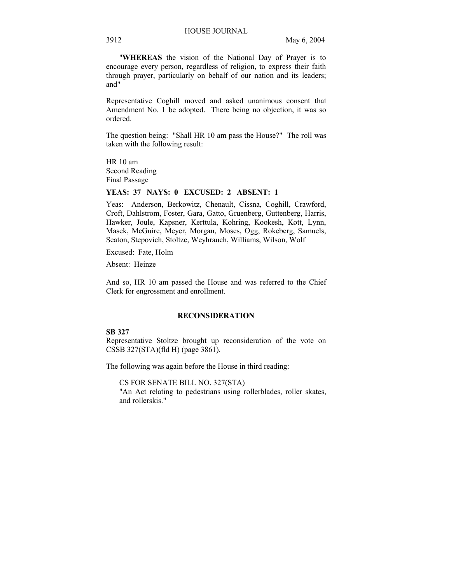"**WHEREAS** the vision of the National Day of Prayer is to encourage every person, regardless of religion, to express their faith through prayer, particularly on behalf of our nation and its leaders; and"

Representative Coghill moved and asked unanimous consent that Amendment No. 1 be adopted. There being no objection, it was so ordered.

The question being: "Shall HR 10 am pass the House?" The roll was taken with the following result:

HR 10 am Second Reading Final Passage

#### **YEAS: 37 NAYS: 0 EXCUSED: 2 ABSENT: 1**

Yeas: Anderson, Berkowitz, Chenault, Cissna, Coghill, Crawford, Croft, Dahlstrom, Foster, Gara, Gatto, Gruenberg, Guttenberg, Harris, Hawker, Joule, Kapsner, Kerttula, Kohring, Kookesh, Kott, Lynn, Masek, McGuire, Meyer, Morgan, Moses, Ogg, Rokeberg, Samuels, Seaton, Stepovich, Stoltze, Weyhrauch, Williams, Wilson, Wolf

Excused: Fate, Holm

Absent: Heinze

And so, HR 10 am passed the House and was referred to the Chief Clerk for engrossment and enrollment.

### **RECONSIDERATION**

### **SB 327**

Representative Stoltze brought up reconsideration of the vote on CSSB 327(STA)(fld H) (page 3861).

The following was again before the House in third reading:

CS FOR SENATE BILL NO. 327(STA)

"An Act relating to pedestrians using rollerblades, roller skates, and rollerskis."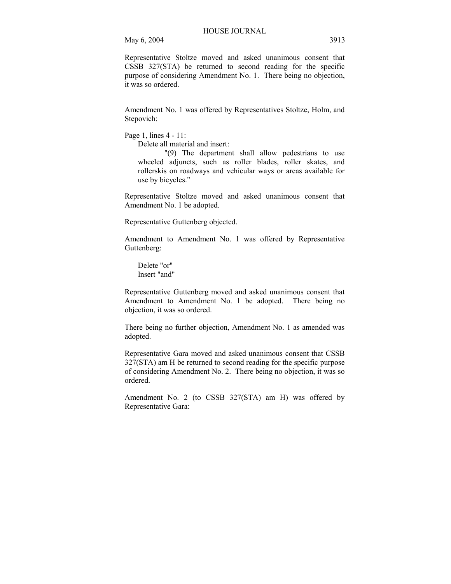May 6, 2004 3913

Representative Stoltze moved and asked unanimous consent that CSSB 327(STA) be returned to second reading for the specific purpose of considering Amendment No. 1. There being no objection, it was so ordered.

Amendment No. 1 was offered by Representatives Stoltze, Holm, and Stepovich:

Page 1, lines 4 - 11:

Delete all material and insert:

"(9) The department shall allow pedestrians to use wheeled adjuncts, such as roller blades, roller skates, and rollerskis on roadways and vehicular ways or areas available for use by bicycles."

Representative Stoltze moved and asked unanimous consent that Amendment No. 1 be adopted.

Representative Guttenberg objected.

Amendment to Amendment No. 1 was offered by Representative Guttenberg:

 Delete "or" Insert "and"

Representative Guttenberg moved and asked unanimous consent that Amendment to Amendment No. 1 be adopted. There being no objection, it was so ordered.

There being no further objection, Amendment No. 1 as amended was adopted.

Representative Gara moved and asked unanimous consent that CSSB 327(STA) am H be returned to second reading for the specific purpose of considering Amendment No. 2. There being no objection, it was so ordered.

Amendment No. 2 (to CSSB 327(STA) am H) was offered by Representative Gara: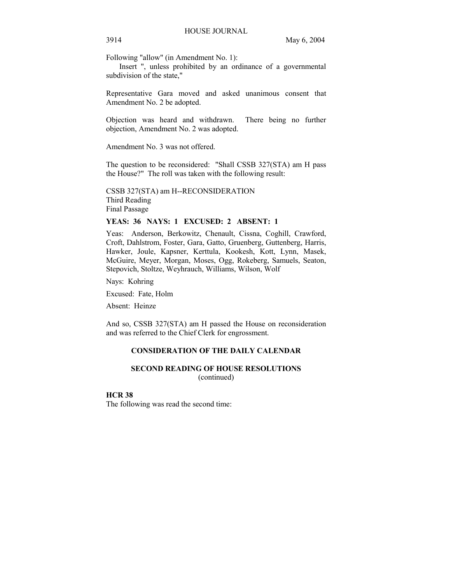Following "allow" (in Amendment No. 1):

 Insert ", unless prohibited by an ordinance of a governmental subdivision of the state,"

Representative Gara moved and asked unanimous consent that Amendment No. 2 be adopted.

Objection was heard and withdrawn. There being no further objection, Amendment No. 2 was adopted.

Amendment No. 3 was not offered.

The question to be reconsidered: "Shall CSSB 327(STA) am H pass the House?" The roll was taken with the following result:

CSSB 327(STA) am H--RECONSIDERATION Third Reading Final Passage

## **YEAS: 36 NAYS: 1 EXCUSED: 2 ABSENT: 1**

Yeas: Anderson, Berkowitz, Chenault, Cissna, Coghill, Crawford, Croft, Dahlstrom, Foster, Gara, Gatto, Gruenberg, Guttenberg, Harris, Hawker, Joule, Kapsner, Kerttula, Kookesh, Kott, Lynn, Masek, McGuire, Meyer, Morgan, Moses, Ogg, Rokeberg, Samuels, Seaton, Stepovich, Stoltze, Weyhrauch, Williams, Wilson, Wolf

Nays: Kohring

Excused: Fate, Holm

Absent: Heinze

And so, CSSB 327(STA) am H passed the House on reconsideration and was referred to the Chief Clerk for engrossment.

### **CONSIDERATION OF THE DAILY CALENDAR**

# **SECOND READING OF HOUSE RESOLUTIONS**  (continued)

#### **HCR 38**

The following was read the second time: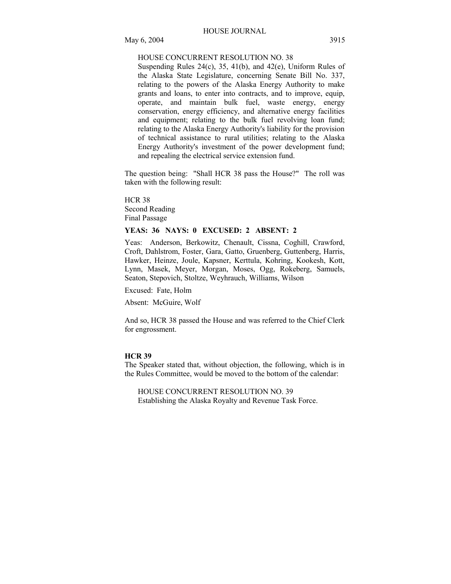#### HOUSE CONCURRENT RESOLUTION NO. 38

Suspending Rules 24(c), 35, 41(b), and 42(e), Uniform Rules of the Alaska State Legislature, concerning Senate Bill No. 337, relating to the powers of the Alaska Energy Authority to make grants and loans, to enter into contracts, and to improve, equip, operate, and maintain bulk fuel, waste energy, energy conservation, energy efficiency, and alternative energy facilities and equipment; relating to the bulk fuel revolving loan fund; relating to the Alaska Energy Authority's liability for the provision of technical assistance to rural utilities; relating to the Alaska Energy Authority's investment of the power development fund; and repealing the electrical service extension fund.

The question being: "Shall HCR 38 pass the House?" The roll was taken with the following result:

HCR 38 Second Reading Final Passage

#### **YEAS: 36 NAYS: 0 EXCUSED: 2 ABSENT: 2**

Yeas: Anderson, Berkowitz, Chenault, Cissna, Coghill, Crawford, Croft, Dahlstrom, Foster, Gara, Gatto, Gruenberg, Guttenberg, Harris, Hawker, Heinze, Joule, Kapsner, Kerttula, Kohring, Kookesh, Kott, Lynn, Masek, Meyer, Morgan, Moses, Ogg, Rokeberg, Samuels, Seaton, Stepovich, Stoltze, Weyhrauch, Williams, Wilson

Excused: Fate, Holm

Absent: McGuire, Wolf

And so, HCR 38 passed the House and was referred to the Chief Clerk for engrossment.

#### **HCR 39**

The Speaker stated that, without objection, the following, which is in the Rules Committee, would be moved to the bottom of the calendar:

HOUSE CONCURRENT RESOLUTION NO. 39 Establishing the Alaska Royalty and Revenue Task Force.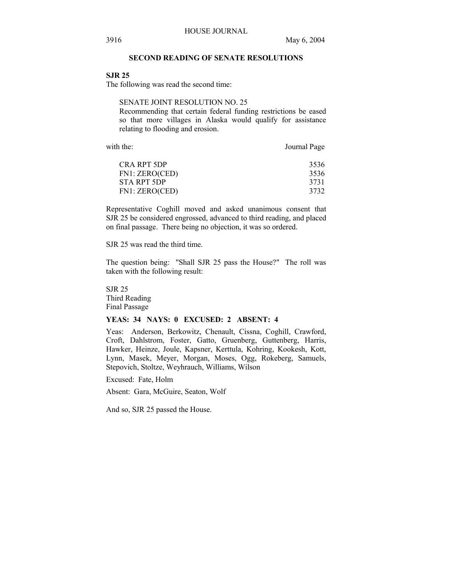#### **SECOND READING OF SENATE RESOLUTIONS**

#### **SJR 25**

The following was read the second time:

# SENATE JOINT RESOLUTION NO. 25

Recommending that certain federal funding restrictions be eased so that more villages in Alaska would qualify for assistance relating to flooding and erosion.

with the: Journal Page

| CRA RPT 5DP    | 3536 |
|----------------|------|
| FN1: ZERO(CED) | 3536 |
| STA RPT 5DP    | 3731 |
| FN1: ZERO(CED) | 3732 |
|                |      |

Representative Coghill moved and asked unanimous consent that SJR 25 be considered engrossed, advanced to third reading, and placed on final passage. There being no objection, it was so ordered.

SJR 25 was read the third time.

The question being: "Shall SJR 25 pass the House?" The roll was taken with the following result:

SJR 25 Third Reading Final Passage

#### **YEAS: 34 NAYS: 0 EXCUSED: 2 ABSENT: 4**

Yeas: Anderson, Berkowitz, Chenault, Cissna, Coghill, Crawford, Croft, Dahlstrom, Foster, Gatto, Gruenberg, Guttenberg, Harris, Hawker, Heinze, Joule, Kapsner, Kerttula, Kohring, Kookesh, Kott, Lynn, Masek, Meyer, Morgan, Moses, Ogg, Rokeberg, Samuels, Stepovich, Stoltze, Weyhrauch, Williams, Wilson

Excused: Fate, Holm

Absent: Gara, McGuire, Seaton, Wolf

And so, SJR 25 passed the House.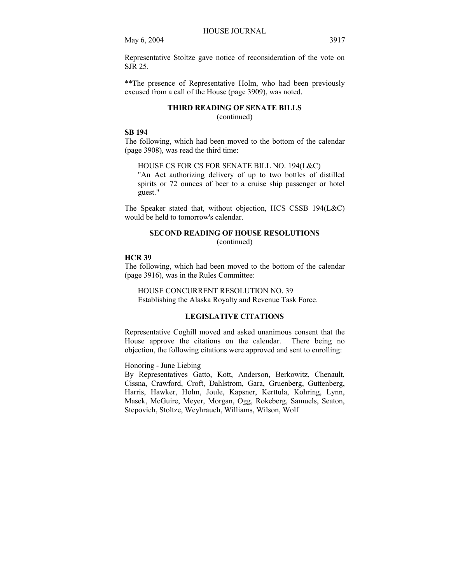May 6, 2004 3917

Representative Stoltze gave notice of reconsideration of the vote on SJR 25.

\*\*The presence of Representative Holm, who had been previously excused from a call of the House (page 3909), was noted.

# **THIRD READING OF SENATE BILLS**  (continued)

#### **SB 194**

The following, which had been moved to the bottom of the calendar (page 3908), was read the third time:

HOUSE CS FOR CS FOR SENATE BILL NO. 194(L&C)

"An Act authorizing delivery of up to two bottles of distilled spirits or 72 ounces of beer to a cruise ship passenger or hotel guest."

The Speaker stated that, without objection, HCS CSSB 194(L&C) would be held to tomorrow's calendar.

# **SECOND READING OF HOUSE RESOLUTIONS**

(continued)

#### **HCR 39**

The following, which had been moved to the bottom of the calendar (page 3916), was in the Rules Committee:

HOUSE CONCURRENT RESOLUTION NO. 39 Establishing the Alaska Royalty and Revenue Task Force.

# **LEGISLATIVE CITATIONS**

Representative Coghill moved and asked unanimous consent that the House approve the citations on the calendar. There being no objection, the following citations were approved and sent to enrolling:

# Honoring - June Liebing

By Representatives Gatto, Kott, Anderson, Berkowitz, Chenault, Cissna, Crawford, Croft, Dahlstrom, Gara, Gruenberg, Guttenberg, Harris, Hawker, Holm, Joule, Kapsner, Kerttula, Kohring, Lynn, Masek, McGuire, Meyer, Morgan, Ogg, Rokeberg, Samuels, Seaton, Stepovich, Stoltze, Weyhrauch, Williams, Wilson, Wolf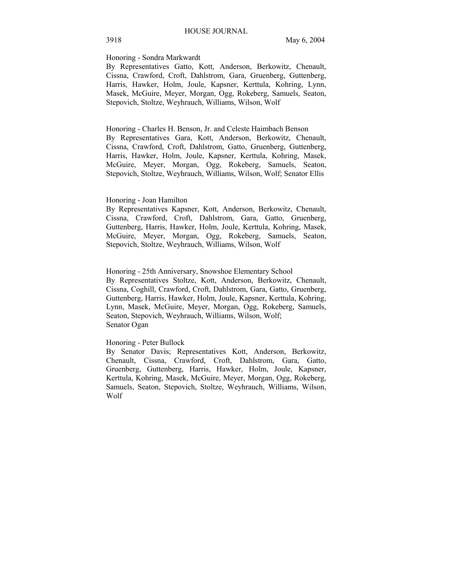# Honoring - Sondra Markwardt

By Representatives Gatto, Kott, Anderson, Berkowitz, Chenault, Cissna, Crawford, Croft, Dahlstrom, Gara, Gruenberg, Guttenberg, Harris, Hawker, Holm, Joule, Kapsner, Kerttula, Kohring, Lynn, Masek, McGuire, Meyer, Morgan, Ogg, Rokeberg, Samuels, Seaton, Stepovich, Stoltze, Weyhrauch, Williams, Wilson, Wolf

Honoring - Charles H. Benson, Jr. and Celeste Haimbach Benson By Representatives Gara, Kott, Anderson, Berkowitz, Chenault, Cissna, Crawford, Croft, Dahlstrom, Gatto, Gruenberg, Guttenberg, Harris, Hawker, Holm, Joule, Kapsner, Kerttula, Kohring, Masek, McGuire, Meyer, Morgan, Ogg, Rokeberg, Samuels, Seaton, Stepovich, Stoltze, Weyhrauch, Williams, Wilson, Wolf; Senator Ellis

#### Honoring - Joan Hamilton

By Representatives Kapsner, Kott, Anderson, Berkowitz, Chenault, Cissna, Crawford, Croft, Dahlstrom, Gara, Gatto, Gruenberg, Guttenberg, Harris, Hawker, Holm, Joule, Kerttula, Kohring, Masek, McGuire, Meyer, Morgan, Ogg, Rokeberg, Samuels, Seaton, Stepovich, Stoltze, Weyhrauch, Williams, Wilson, Wolf

Honoring - 25th Anniversary, Snowshoe Elementary School By Representatives Stoltze, Kott, Anderson, Berkowitz, Chenault, Cissna, Coghill, Crawford, Croft, Dahlstrom, Gara, Gatto, Gruenberg, Guttenberg, Harris, Hawker, Holm, Joule, Kapsner, Kerttula, Kohring, Lynn, Masek, McGuire, Meyer, Morgan, Ogg, Rokeberg, Samuels, Seaton, Stepovich, Weyhrauch, Williams, Wilson, Wolf; Senator Ogan

#### Honoring - Peter Bullock

By Senator Davis; Representatives Kott, Anderson, Berkowitz, Chenault, Cissna, Crawford, Croft, Dahlstrom, Gara, Gatto, Gruenberg, Guttenberg, Harris, Hawker, Holm, Joule, Kapsner, Kerttula, Kohring, Masek, McGuire, Meyer, Morgan, Ogg, Rokeberg, Samuels, Seaton, Stepovich, Stoltze, Weyhrauch, Williams, Wilson, Wolf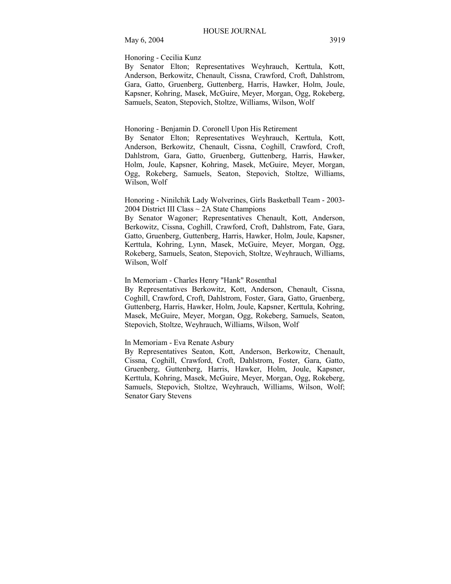# May 6, 2004 3919

#### Honoring - Cecilia Kunz

By Senator Elton; Representatives Weyhrauch, Kerttula, Kott, Anderson, Berkowitz, Chenault, Cissna, Crawford, Croft, Dahlstrom, Gara, Gatto, Gruenberg, Guttenberg, Harris, Hawker, Holm, Joule, Kapsner, Kohring, Masek, McGuire, Meyer, Morgan, Ogg, Rokeberg, Samuels, Seaton, Stepovich, Stoltze, Williams, Wilson, Wolf

#### Honoring - Benjamin D. Coronell Upon His Retirement

By Senator Elton; Representatives Weyhrauch, Kerttula, Kott, Anderson, Berkowitz, Chenault, Cissna, Coghill, Crawford, Croft, Dahlstrom, Gara, Gatto, Gruenberg, Guttenberg, Harris, Hawker, Holm, Joule, Kapsner, Kohring, Masek, McGuire, Meyer, Morgan, Ogg, Rokeberg, Samuels, Seaton, Stepovich, Stoltze, Williams, Wilson, Wolf

Honoring - Ninilchik Lady Wolverines, Girls Basketball Team - 2003- 2004 District III Class ~ 2A State Champions

By Senator Wagoner; Representatives Chenault, Kott, Anderson, Berkowitz, Cissna, Coghill, Crawford, Croft, Dahlstrom, Fate, Gara, Gatto, Gruenberg, Guttenberg, Harris, Hawker, Holm, Joule, Kapsner, Kerttula, Kohring, Lynn, Masek, McGuire, Meyer, Morgan, Ogg, Rokeberg, Samuels, Seaton, Stepovich, Stoltze, Weyhrauch, Williams, Wilson, Wolf

#### In Memoriam - Charles Henry "Hank" Rosenthal

By Representatives Berkowitz, Kott, Anderson, Chenault, Cissna, Coghill, Crawford, Croft, Dahlstrom, Foster, Gara, Gatto, Gruenberg, Guttenberg, Harris, Hawker, Holm, Joule, Kapsner, Kerttula, Kohring, Masek, McGuire, Meyer, Morgan, Ogg, Rokeberg, Samuels, Seaton, Stepovich, Stoltze, Weyhrauch, Williams, Wilson, Wolf

# In Memoriam - Eva Renate Asbury

By Representatives Seaton, Kott, Anderson, Berkowitz, Chenault, Cissna, Coghill, Crawford, Croft, Dahlstrom, Foster, Gara, Gatto, Gruenberg, Guttenberg, Harris, Hawker, Holm, Joule, Kapsner, Kerttula, Kohring, Masek, McGuire, Meyer, Morgan, Ogg, Rokeberg, Samuels, Stepovich, Stoltze, Weyhrauch, Williams, Wilson, Wolf; Senator Gary Stevens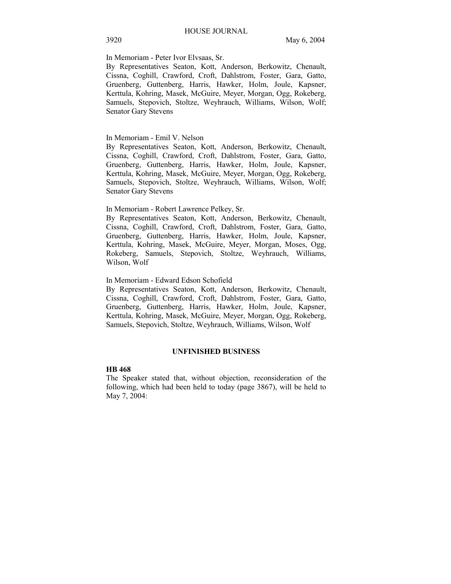In Memoriam - Peter Ivor Elvsaas, Sr.

By Representatives Seaton, Kott, Anderson, Berkowitz, Chenault, Cissna, Coghill, Crawford, Croft, Dahlstrom, Foster, Gara, Gatto, Gruenberg, Guttenberg, Harris, Hawker, Holm, Joule, Kapsner, Kerttula, Kohring, Masek, McGuire, Meyer, Morgan, Ogg, Rokeberg, Samuels, Stepovich, Stoltze, Weyhrauch, Williams, Wilson, Wolf; Senator Gary Stevens

### In Memoriam - Emil V. Nelson

By Representatives Seaton, Kott, Anderson, Berkowitz, Chenault, Cissna, Coghill, Crawford, Croft, Dahlstrom, Foster, Gara, Gatto, Gruenberg, Guttenberg, Harris, Hawker, Holm, Joule, Kapsner, Kerttula, Kohring, Masek, McGuire, Meyer, Morgan, Ogg, Rokeberg, Samuels, Stepovich, Stoltze, Weyhrauch, Williams, Wilson, Wolf; Senator Gary Stevens

#### In Memoriam - Robert Lawrence Pelkey, Sr.

By Representatives Seaton, Kott, Anderson, Berkowitz, Chenault, Cissna, Coghill, Crawford, Croft, Dahlstrom, Foster, Gara, Gatto, Gruenberg, Guttenberg, Harris, Hawker, Holm, Joule, Kapsner, Kerttula, Kohring, Masek, McGuire, Meyer, Morgan, Moses, Ogg, Rokeberg, Samuels, Stepovich, Stoltze, Weyhrauch, Williams, Wilson, Wolf

## In Memoriam - Edward Edson Schofield

By Representatives Seaton, Kott, Anderson, Berkowitz, Chenault, Cissna, Coghill, Crawford, Croft, Dahlstrom, Foster, Gara, Gatto, Gruenberg, Guttenberg, Harris, Hawker, Holm, Joule, Kapsner, Kerttula, Kohring, Masek, McGuire, Meyer, Morgan, Ogg, Rokeberg, Samuels, Stepovich, Stoltze, Weyhrauch, Williams, Wilson, Wolf

#### **UNFINISHED BUSINESS**

#### **HB 468**

The Speaker stated that, without objection, reconsideration of the following, which had been held to today (page 3867), will be held to May 7, 2004: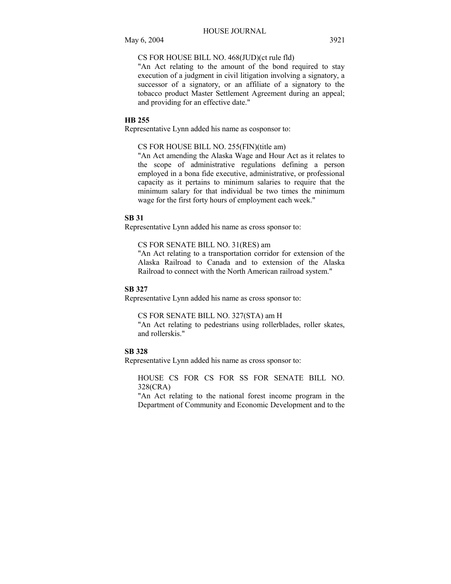## CS FOR HOUSE BILL NO. 468(JUD)(ct rule fld)

"An Act relating to the amount of the bond required to stay execution of a judgment in civil litigation involving a signatory, a successor of a signatory, or an affiliate of a signatory to the tobacco product Master Settlement Agreement during an appeal; and providing for an effective date."

#### **HB 255**

Representative Lynn added his name as cosponsor to:

#### CS FOR HOUSE BILL NO. 255(FIN)(title am)

"An Act amending the Alaska Wage and Hour Act as it relates to the scope of administrative regulations defining a person employed in a bona fide executive, administrative, or professional capacity as it pertains to minimum salaries to require that the minimum salary for that individual be two times the minimum wage for the first forty hours of employment each week."

#### **SB 31**

Representative Lynn added his name as cross sponsor to:

#### CS FOR SENATE BILL NO. 31(RES) am

"An Act relating to a transportation corridor for extension of the Alaska Railroad to Canada and to extension of the Alaska Railroad to connect with the North American railroad system."

#### **SB 327**

Representative Lynn added his name as cross sponsor to:

# CS FOR SENATE BILL NO. 327(STA) am H

"An Act relating to pedestrians using rollerblades, roller skates, and rollerskis."

### **SB 328**

Representative Lynn added his name as cross sponsor to:

HOUSE CS FOR CS FOR SS FOR SENATE BILL NO. 328(CRA)

"An Act relating to the national forest income program in the Department of Community and Economic Development and to the